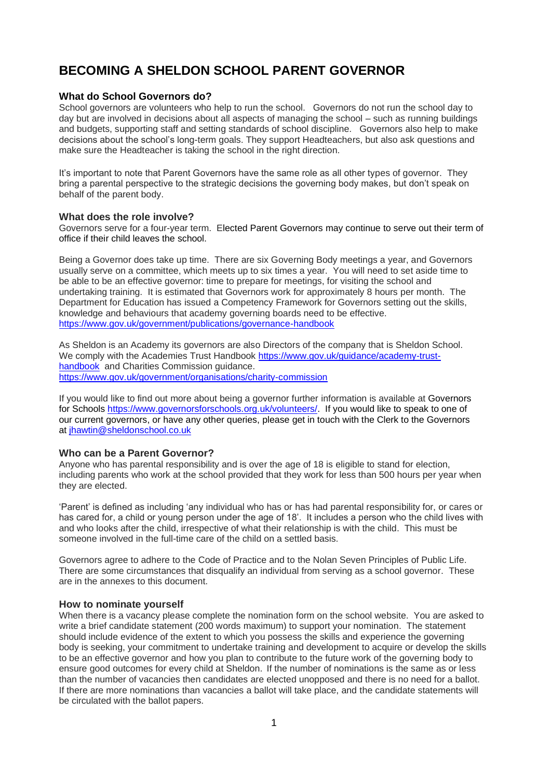# **BECOMING A SHELDON SCHOOL PARENT GOVERNOR**

#### **What do School Governors do?**

School governors are volunteers who help to run the school. Governors do not run the school day to day but are involved in decisions about all aspects of managing the school – such as running buildings and budgets, supporting staff and setting standards of school discipline. Governors also help to make decisions about the school's long-term goals. They support Headteachers, but also ask questions and make sure the Headteacher is taking the school in the right direction.

It's important to note that Parent Governors have the same role as all other types of governor. They bring a parental perspective to the strategic decisions the governing body makes, but don't speak on behalf of the parent body.

#### **What does the role involve?**

Governors serve for a four-year term. Elected Parent Governors may continue to serve out their term of office if their child leaves the school.

Being a Governor does take up time. There are six Governing Body meetings a year, and Governors usually serve on a committee, which meets up to six times a year. You will need to set aside time to be able to be an effective governor: time to prepare for meetings, for visiting the school and undertaking training. It is estimated that Governors work for approximately 8 hours per month. The Department for Education has issued a Competency Framework for Governors setting out the skills, knowledge and behaviours that academy governing boards need to be effective. <https://www.gov.uk/government/publications/governance-handbook>

As Sheldon is an Academy its governors are also Directors of the company that is Sheldon School. We comply with the Academies Trust Handbook [https://www.gov.uk/guidance/academy-trust](https://www.gov.uk/guidance/academy-trust-handbook)[handbook](https://www.gov.uk/guidance/academy-trust-handbook) and Charities Commission guidance. <https://www.gov.uk/government/organisations/charity-commission>

If you would like to find out more about being a governor further information is available at Governors for Schools [https://www.governorsforschools.org.uk/volunteers/.](https://www.governorsforschools.org.uk/volunteers/) If you would like to speak to one of our current governors, or have any other queries, please get in touch with the Clerk to the Governors at [jhawtin@sheldonschool.co.uk](mailto:jhawtin@sheldonschool.co.uk)

#### **Who can be a Parent Governor?**

Anyone who has parental responsibility and is over the age of 18 is eligible to stand for election, including parents who work at the school provided that they work for less than 500 hours per year when they are elected.

'Parent' is defined as including 'any individual who has or has had parental responsibility for, or cares or has cared for, a child or young person under the age of 18'. It includes a person who the child lives with and who looks after the child, irrespective of what their relationship is with the child. This must be someone involved in the full-time care of the child on a settled basis.

Governors agree to adhere to the Code of Practice and to the Nolan Seven Principles of Public Life. There are some circumstances that disqualify an individual from serving as a school governor. These are in the annexes to this document.

#### **How to nominate yourself**

When there is a vacancy please complete the nomination form on the school website. You are asked to write a brief candidate statement (200 words maximum) to support your nomination. The statement should include evidence of the extent to which you possess the skills and experience the governing body is seeking, your commitment to undertake training and development to acquire or develop the skills to be an effective governor and how you plan to contribute to the future work of the governing body to ensure good outcomes for every child at Sheldon. If the number of nominations is the same as or less than the number of vacancies then candidates are elected unopposed and there is no need for a ballot. If there are more nominations than vacancies a ballot will take place, and the candidate statements will be circulated with the ballot papers.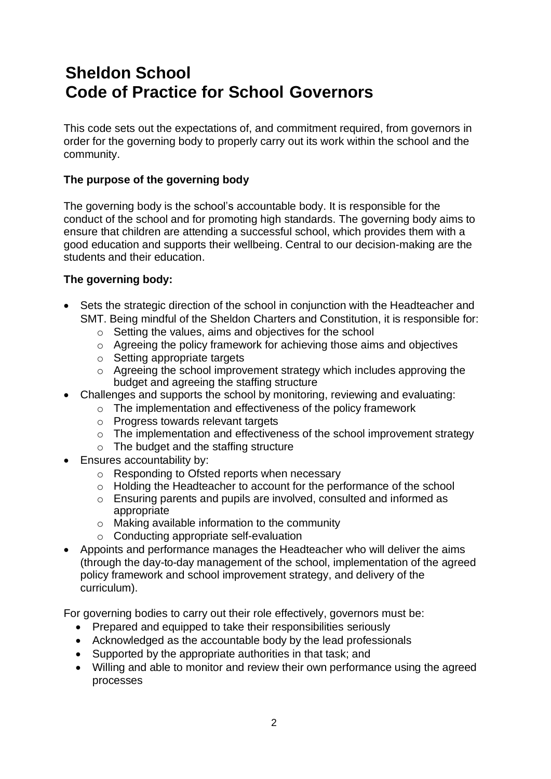# **Sheldon School Code of Practice for School Governors**

This code sets out the expectations of, and commitment required, from governors in order for the governing body to properly carry out its work within the school and the community.

## **The purpose of the governing body**

The governing body is the school's accountable body. It is responsible for the conduct of the school and for promoting high standards. The governing body aims to ensure that children are attending a successful school, which provides them with a good education and supports their wellbeing. Central to our decision-making are the students and their education.

#### **The governing body:**

- Sets the strategic direction of the school in conjunction with the Headteacher and SMT. Being mindful of the Sheldon Charters and Constitution, it is responsible for:
	- o Setting the values, aims and objectives for the school
	- o Agreeing the policy framework for achieving those aims and objectives
	- o Setting appropriate targets
	- o Agreeing the school improvement strategy which includes approving the budget and agreeing the staffing structure
- Challenges and supports the school by monitoring, reviewing and evaluating:
	- o The implementation and effectiveness of the policy framework
	- o Progress towards relevant targets
	- o The implementation and effectiveness of the school improvement strategy
	- o The budget and the staffing structure
- Ensures accountability by:
	- o Responding to Ofsted reports when necessary
	- o Holding the Headteacher to account for the performance of the school
	- o Ensuring parents and pupils are involved, consulted and informed as appropriate
	- o Making available information to the community
	- o Conducting appropriate self-evaluation
- Appoints and performance manages the Headteacher who will deliver the aims (through the day-to-day management of the school, implementation of the agreed policy framework and school improvement strategy, and delivery of the curriculum).

For governing bodies to carry out their role effectively, governors must be:

- Prepared and equipped to take their responsibilities seriously
- Acknowledged as the accountable body by the lead professionals
- Supported by the appropriate authorities in that task; and
- Willing and able to monitor and review their own performance using the agreed processes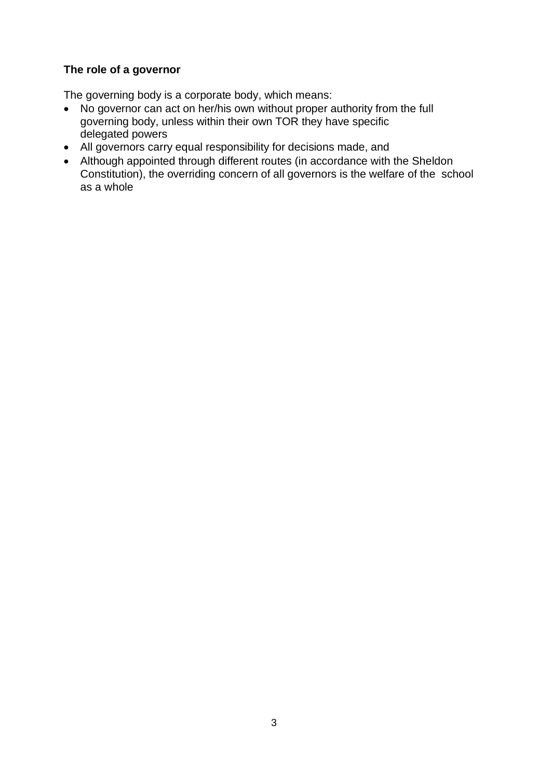## **The role of a governor**

The governing body is a corporate body, which means:

- No governor can act on her/his own without proper authority from the full governing body, unless within their own TOR they have specific delegated powers
- All governors carry equal responsibility for decisions made, and
- Although appointed through different routes (in accordance with the Sheldon Constitution), the overriding concern of all governors is the welfare of the school as a whole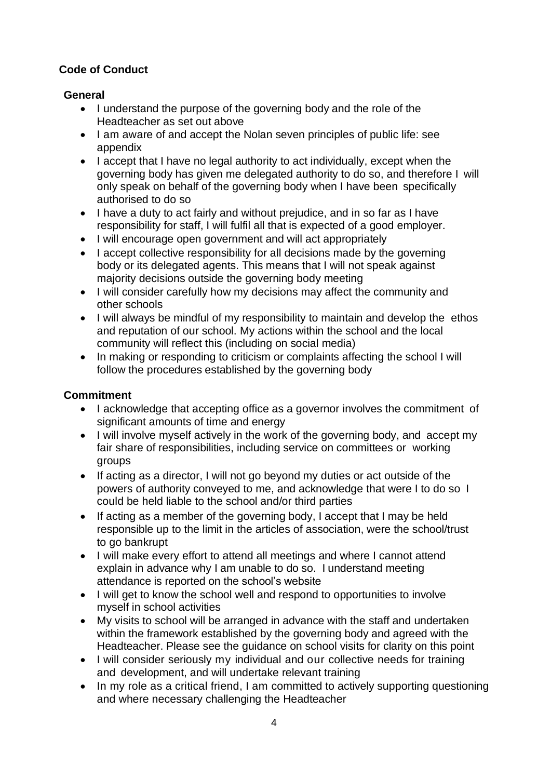## **Code of Conduct**

## **General**

- I understand the purpose of the governing body and the role of the Headteacher as set out above
- I am aware of and accept the Nolan seven principles of public life: see appendix
- I accept that I have no legal authority to act individually, except when the governing body has given me delegated authority to do so, and therefore I will only speak on behalf of the governing body when I have been specifically authorised to do so
- I have a duty to act fairly and without prejudice, and in so far as I have responsibility for staff, I will fulfil all that is expected of a good employer.
- I will encourage open government and will act appropriately
- I accept collective responsibility for all decisions made by the governing body or its delegated agents. This means that I will not speak against majority decisions outside the governing body meeting
- I will consider carefully how my decisions may affect the community and other schools
- I will always be mindful of my responsibility to maintain and develop the ethos and reputation of our school. My actions within the school and the local community will reflect this (including on social media)
- In making or responding to criticism or complaints affecting the school I will follow the procedures established by the governing body

## **Commitment**

- I acknowledge that accepting office as a governor involves the commitment of significant amounts of time and energy
- I will involve myself actively in the work of the governing body, and accept my fair share of responsibilities, including service on committees or working groups
- If acting as a director, I will not go beyond my duties or act outside of the powers of authority conveyed to me, and acknowledge that were I to do so I could be held liable to the school and/or third parties
- If acting as a member of the governing body, I accept that I may be held responsible up to the limit in the articles of association, were the school/trust to go bankrupt
- I will make every effort to attend all meetings and where I cannot attend explain in advance why I am unable to do so. I understand meeting attendance is reported on the school's website
- I will get to know the school well and respond to opportunities to involve myself in school activities
- My visits to school will be arranged in advance with the staff and undertaken within the framework established by the governing body and agreed with the Headteacher. Please see the guidance on school visits for clarity on this point
- I will consider seriously my individual and our collective needs for training and development, and will undertake relevant training
- In my role as a critical friend, I am committed to actively supporting questioning and where necessary challenging the Headteacher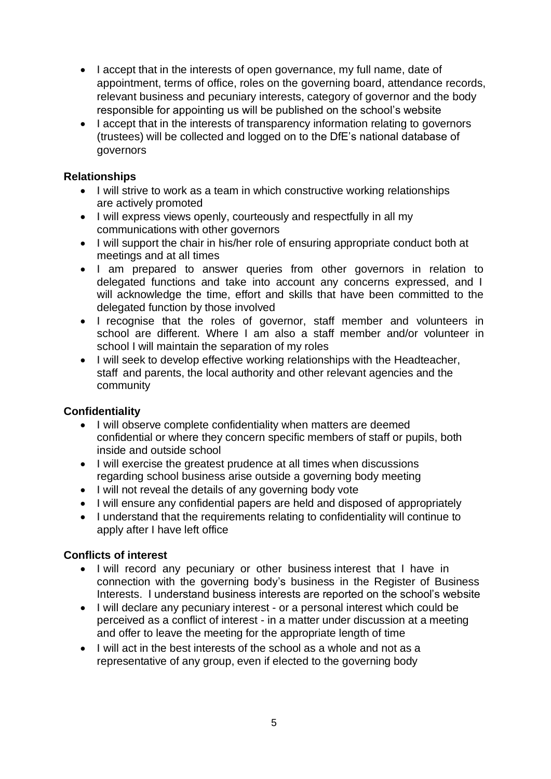- I accept that in the interests of open governance, my full name, date of appointment, terms of office, roles on the governing board, attendance records, relevant business and pecuniary interests, category of governor and the body responsible for appointing us will be published on the school's website
- I accept that in the interests of transparency information relating to governors (trustees) will be collected and logged on to the DfE's national database of governors

## **Relationships**

- I will strive to work as a team in which constructive working relationships are actively promoted
- I will express views openly, courteously and respectfully in all my communications with other governors
- I will support the chair in his/her role of ensuring appropriate conduct both at meetings and at all times
- I am prepared to answer queries from other governors in relation to delegated functions and take into account any concerns expressed, and I will acknowledge the time, effort and skills that have been committed to the delegated function by those involved
- I recognise that the roles of governor, staff member and volunteers in school are different. Where I am also a staff member and/or volunteer in school I will maintain the separation of my roles
- I will seek to develop effective working relationships with the Headteacher, staff and parents, the local authority and other relevant agencies and the community

# **Confidentiality**

- I will observe complete confidentiality when matters are deemed confidential or where they concern specific members of staff or pupils, both inside and outside school
- I will exercise the greatest prudence at all times when discussions regarding school business arise outside a governing body meeting
- I will not reveal the details of any governing body vote
- I will ensure any confidential papers are held and disposed of appropriately
- I understand that the requirements relating to confidentiality will continue to apply after I have left office

## **Conflicts of interest**

- I will record any pecuniary or other business interest that I have in connection with the governing body's business in the Register of Business Interests. I understand business interests are reported on the school's website
- I will declare any pecuniary interest or a personal interest which could be perceived as a conflict of interest - in a matter under discussion at a meeting and offer to leave the meeting for the appropriate length of time
- I will act in the best interests of the school as a whole and not as a representative of any group, even if elected to the governing body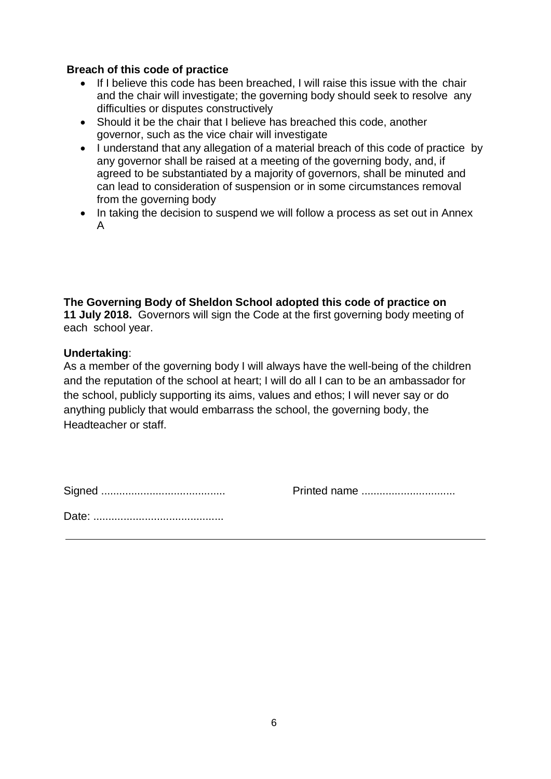#### **Breach of this code of practice**

- If I believe this code has been breached, I will raise this issue with the chair and the chair will investigate; the governing body should seek to resolve any difficulties or disputes constructively
- Should it be the chair that I believe has breached this code, another governor, such as the vice chair will investigate
- I understand that any allegation of a material breach of this code of practice by any governor shall be raised at a meeting of the governing body, and, if agreed to be substantiated by a majority of governors, shall be minuted and can lead to consideration of suspension or in some circumstances removal from the governing body
- In taking the decision to suspend we will follow a process as set out in Annex A

**The Governing Body of Sheldon School adopted this code of practice on 11 July 2018.** Governors will sign the Code at the first governing body meeting of each school year.

#### **Undertaking**:

As a member of the governing body I will always have the well-being of the children and the reputation of the school at heart; I will do all I can to be an ambassador for the school, publicly supporting its aims, values and ethos; I will never say or do anything publicly that would embarrass the school, the governing body, the Headteacher or staff.

|--|--|

Signed ......................................... Printed name ...............................

|--|--|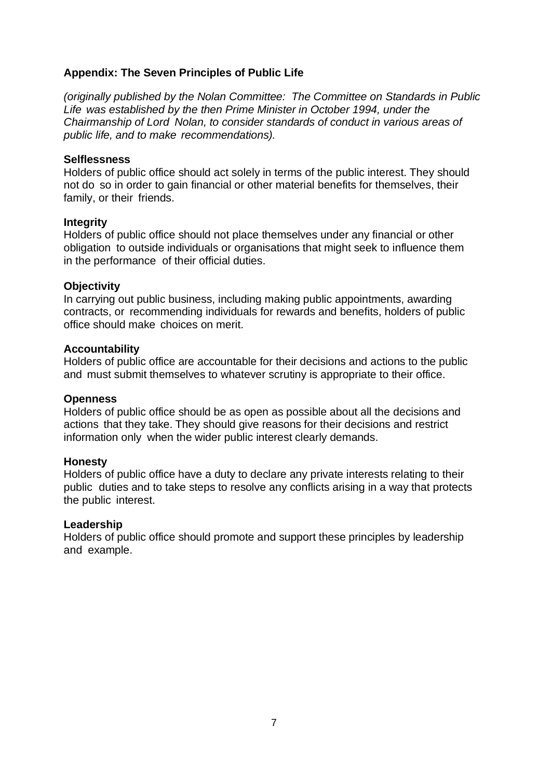#### **Appendix: The Seven Principles of Public Life**

*(originally published by the Nolan Committee: The Committee on Standards in Public Life was established by the then Prime Minister in October 1994, under the Chairmanship of Lord Nolan, to consider standards of conduct in various areas of public life, and to make recommendations).*

#### **Selflessness**

Holders of public office should act solely in terms of the public interest. They should not do so in order to gain financial or other material benefits for themselves, their family, or their friends.

#### **Integrity**

Holders of public office should not place themselves under any financial or other obligation to outside individuals or organisations that might seek to influence them in the performance of their official duties.

#### **Objectivity**

In carrying out public business, including making public appointments, awarding contracts, or recommending individuals for rewards and benefits, holders of public office should make choices on merit.

#### **Accountability**

Holders of public office are accountable for their decisions and actions to the public and must submit themselves to whatever scrutiny is appropriate to their office.

#### **Openness**

Holders of public office should be as open as possible about all the decisions and actions that they take. They should give reasons for their decisions and restrict information only when the wider public interest clearly demands.

#### **Honesty**

Holders of public office have a duty to declare any private interests relating to their public duties and to take steps to resolve any conflicts arising in a way that protects the public interest.

#### **Leadership**

Holders of public office should promote and support these principles by leadership and example.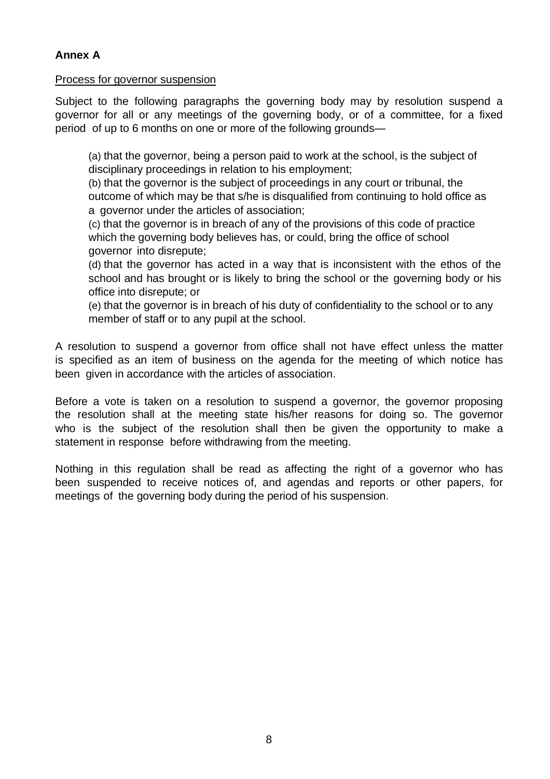Process for governor suspension

Subject to the following paragraphs the governing body may by resolution suspend a governor for all or any meetings of the governing body, or of a committee, for a fixed period of up to 6 months on one or more of the following grounds—

(a) that the governor, being a person paid to work at the school, is the subject of disciplinary proceedings in relation to his employment;

(b) that the governor is the subject of proceedings in any court or tribunal, the outcome of which may be that s/he is disqualified from continuing to hold office as a governor under the articles of association;

(c) that the governor is in breach of any of the provisions of this code of practice which the governing body believes has, or could, bring the office of school governor into disrepute;

(d) that the governor has acted in a way that is inconsistent with the ethos of the school and has brought or is likely to bring the school or the governing body or his office into disrepute; or

(e) that the governor is in breach of his duty of confidentiality to the school or to any member of staff or to any pupil at the school.

A resolution to suspend a governor from office shall not have effect unless the matter is specified as an item of business on the agenda for the meeting of which notice has been given in accordance with the articles of association.

Before a vote is taken on a resolution to suspend a governor, the governor proposing the resolution shall at the meeting state his/her reasons for doing so. The governor who is the subject of the resolution shall then be given the opportunity to make a statement in response before withdrawing from the meeting.

Nothing in this regulation shall be read as affecting the right of a governor who has been suspended to receive notices of, and agendas and reports or other papers, for meetings of the governing body during the period of his suspension.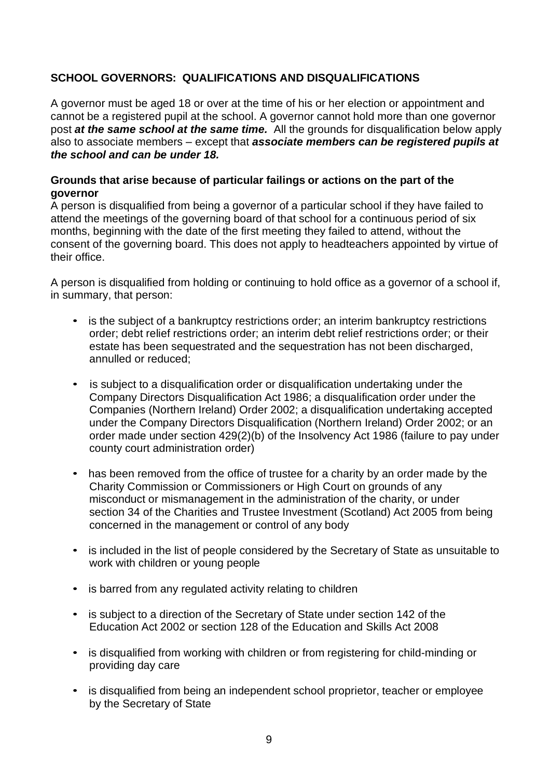## **SCHOOL GOVERNORS: QUALIFICATIONS AND DISQUALIFICATIONS**

A governor must be aged 18 or over at the time of his or her election or appointment and cannot be a registered pupil at the school. A governor cannot hold more than one governor post *at the same school at the same time.* All the grounds for disqualification below apply also to associate members – except that *associate members can be registered pupils at the school and can be under 18.*

#### **Grounds that arise because of particular failings or actions on the part of the governor**

A person is disqualified from being a governor of a particular school if they have failed to attend the meetings of the governing board of that school for a continuous period of six months, beginning with the date of the first meeting they failed to attend, without the consent of the governing board. This does not apply to headteachers appointed by virtue of their office.

A person is disqualified from holding or continuing to hold office as a governor of a school if, in summary, that person:

- is the subject of a bankruptcy restrictions order; an interim bankruptcy restrictions order; debt relief restrictions order; an interim debt relief restrictions order; or their estate has been sequestrated and the sequestration has not been discharged, annulled or reduced;
- is subject to a disqualification order or disqualification undertaking under the Company Directors Disqualification Act 1986; a disqualification order under the Companies (Northern Ireland) Order 2002; a disqualification undertaking accepted under the Company Directors Disqualification (Northern Ireland) Order 2002; or an order made under section 429(2)(b) of the Insolvency Act 1986 (failure to pay under county court administration order)
- has been removed from the office of trustee for a charity by an order made by the Charity Commission or Commissioners or High Court on grounds of any misconduct or mismanagement in the administration of the charity, or under section 34 of the Charities and Trustee Investment (Scotland) Act 2005 from being concerned in the management or control of any body
- is included in the list of people considered by the Secretary of State as unsuitable to work with children or young people
- is barred from any regulated activity relating to children
- is subject to a direction of the Secretary of State under section 142 of the Education Act 2002 or section 128 of the Education and Skills Act 2008
- is disqualified from working with children or from registering for child-minding or providing day care
- is disqualified from being an independent school proprietor, teacher or employee by the Secretary of State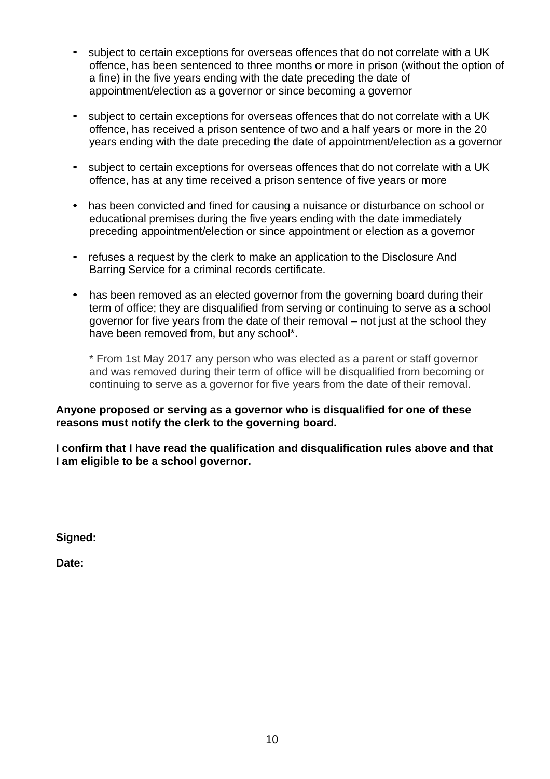- subject to certain exceptions for overseas offences that do not correlate with a UK offence, has been sentenced to three months or more in prison (without the option of a fine) in the five years ending with the date preceding the date of appointment/election as a governor or since becoming a governor
- subject to certain exceptions for overseas offences that do not correlate with a UK offence, has received a prison sentence of two and a half years or more in the 20 years ending with the date preceding the date of appointment/election as a governor
- subject to certain exceptions for overseas offences that do not correlate with a UK offence, has at any time received a prison sentence of five years or more
- has been convicted and fined for causing a nuisance or disturbance on school or educational premises during the five years ending with the date immediately preceding appointment/election or since appointment or election as a governor
- refuses a request by the clerk to make an application to the Disclosure And Barring Service for a criminal records certificate.
- has been removed as an elected governor from the governing board during their term of office; they are disqualified from serving or continuing to serve as a school governor for five years from the date of their removal – not just at the school they have been removed from, but any school\*.

\* From 1st May 2017 any person who was elected as a parent or staff governor and was removed during their term of office will be disqualified from becoming or continuing to serve as a governor for five years from the date of their removal.

#### **Anyone proposed or serving as a governor who is disqualified for one of these reasons must notify the clerk to the governing board.**

**I confirm that I have read the qualification and disqualification rules above and that I am eligible to be a school governor.**

**Signed:**

**Date:**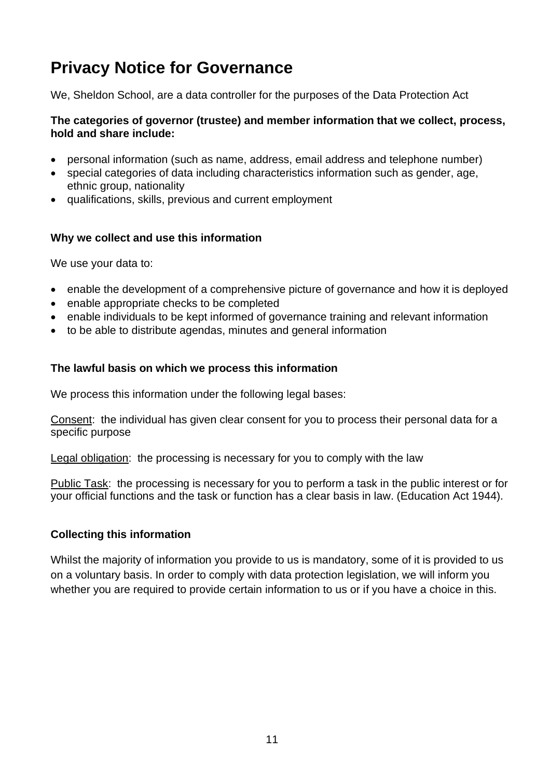# **Privacy Notice for Governance**

We, Sheldon School, are a data controller for the purposes of the Data Protection Act

## **The categories of governor (trustee) and member information that we collect, process, hold and share include:**

- personal information (such as name, address, email address and telephone number)
- special categories of data including characteristics information such as gender, age, ethnic group, nationality
- qualifications, skills, previous and current employment

## **Why we collect and use this information**

We use your data to:

- enable the development of a comprehensive picture of governance and how it is deployed
- enable appropriate checks to be completed
- enable individuals to be kept informed of governance training and relevant information
- to be able to distribute agendas, minutes and general information

## **The lawful basis on which we process this information**

We process this information under the following legal bases:

Consent: the individual has given clear consent for you to process their personal data for a specific purpose

Legal obligation: the processing is necessary for you to comply with the law

Public Task: the processing is necessary for you to perform a task in the public interest or for your official functions and the task or function has a clear basis in law. (Education Act 1944).

# **Collecting this information**

Whilst the majority of information you provide to us is mandatory, some of it is provided to us on a voluntary basis. In order to comply with data protection legislation, we will inform you whether you are required to provide certain information to us or if you have a choice in this.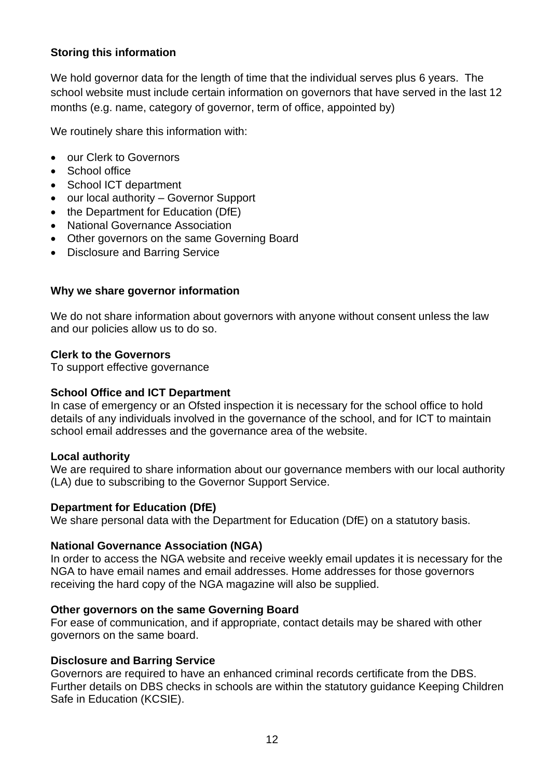## **Storing this information**

We hold governor data for the length of time that the individual serves plus 6 years. The school website must include certain information on governors that have served in the last 12 months (e.g. name, category of governor, term of office, appointed by)

We routinely share this information with:

- our Clerk to Governors
- School office
- School ICT department
- our local authority Governor Support
- the Department for Education (DfE)
- National Governance Association
- Other governors on the same Governing Board
- Disclosure and Barring Service

#### **Why we share governor information**

We do not share information about governors with anyone without consent unless the law and our policies allow us to do so.

#### **Clerk to the Governors**

To support effective governance

#### **School Office and ICT Department**

In case of emergency or an Ofsted inspection it is necessary for the school office to hold details of any individuals involved in the governance of the school, and for ICT to maintain school email addresses and the governance area of the website.

#### **Local authority**

We are required to share information about our governance members with our local authority (LA) due to subscribing to the Governor Support Service.

#### **Department for Education (DfE)**

We share personal data with the Department for Education (DfE) on a statutory basis.

#### **National Governance Association (NGA)**

In order to access the NGA website and receive weekly email updates it is necessary for the NGA to have email names and email addresses. Home addresses for those governors receiving the hard copy of the NGA magazine will also be supplied.

#### **Other governors on the same Governing Board**

For ease of communication, and if appropriate, contact details may be shared with other governors on the same board.

#### **Disclosure and Barring Service**

Governors are required to have an enhanced criminal records certificate from the DBS. Further details on DBS checks in schools are within the statutory guidance Keeping Children Safe in Education (KCSIE).